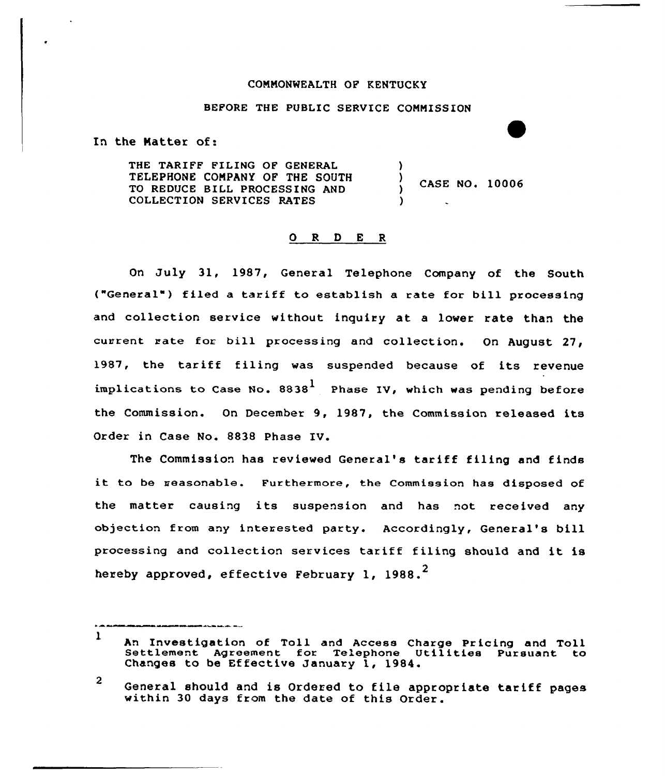## CONNONWEALTH OP KENTUCKY

## BEFORE THE PUBLIC SERVICE CONNISSION

In the Natter of:

THE TARIFF FILING OF GENERAL TELEPHONE CONPANY OF THE SOUTH TO REDUCE BILL PROCESSING AND COLLECTION SERVICES RATES ) ) CASE NO. 10006 )

## O R D E R

On July 31, 1987, General Telephone Company of the South ("General") filed a tariff to establish a rate for bill processing and collection service without inquiry at <sup>a</sup> lower rate than the current rate for bill processing and collection. On August 27, 1987, the tariff filing was suspended because of its revenue implications to Case No.  $8838<sup>1</sup>$  Phase IV, which was pending before the Commission. On December 9, 1987, the Commission released its Order in Case No. 8838 Phase IV.

The Commission has reviewed General's tariff filing and finds it to be reasonable. Furthermore, the Commission has disposed of the matter causing its suspension and has not received any objection from any interested party. Accordingly, General's bill processing and collection services tariff filing should and it is hereby approved, effective February 1, 1988. $<sup>2</sup>$ </sup>

 $\mathbf{I}$ An Investigation of Toll and Access Charge Pr icing and Toll Settlement Agxeement fox Telephone Utilities Pursuant to Changes to be Effective January 1, 1984.

 $\overline{2}$ General should and is Ordered to file appropriate tariff pages within 30 days from the date of this Order.